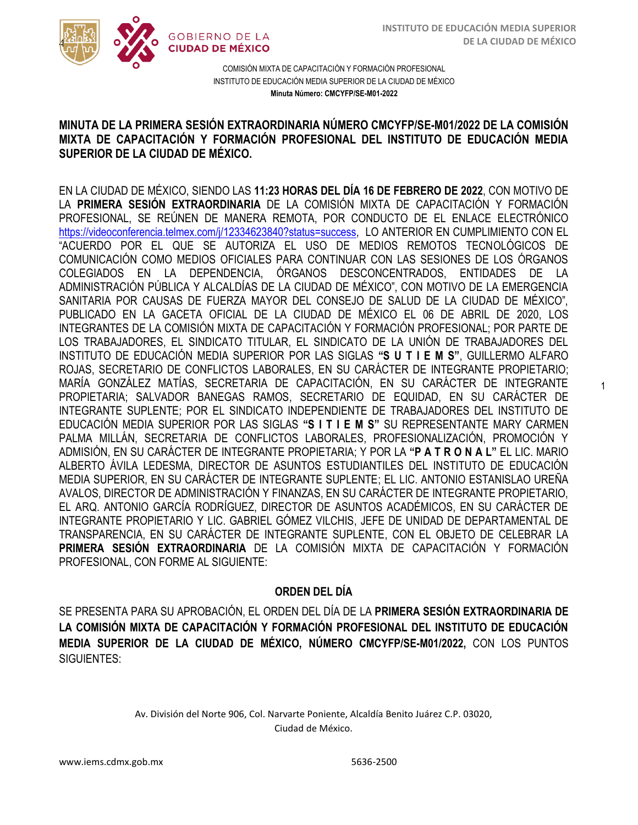1



COMISIÓN MIXTA DE CAPACITACIÓN Y FORMACIÓN PROFESIONAL INSTITUTO DE EDUCACIÓN MEDIA SUPERIOR DE LA CIUDAD DE MÉXICO **Minuta Número: CMCYFP/SE-M01-2022**

## MINOTA DE LA PRIMERA SESIÓN EXTRAGRIDINARIA NOMERO GMCTI PISE-MOTIZUZZ DE LA COMISIÓN<br>MIXTA DE CAPACITACIÓN Y FORMACIÓN PROFESIONAL DEL INSTITUTO DE EDUCACIÓN MEDIA  **SUPERIOR DE LA CIUDAD DE MÉXICO. MINUTA DE LA PRIMERA SESIÓN EXTRAORDINARIA NÚMERO CMCYFP/SE-M01/2022 DE LA COMISIÓN**

EN LA CIUDAD DE MÉXICO, SIENDO LAS **11:23 HORAS DEL DÍA 16 DE FEBRERO DE 2022**, CON MOTIVO DE LA **PRIMERA SESIÓN EXTRAORDINARIA** DE LA COMISIÓN MIXTA DE CAPACITACIÓN Y FORMACIÓN PROFESIONAL, SE REÚNEN DE MANERA REMOTA, POR CONDUCTO DE EL ENLACE ELECTRÓNICO [https://videoconferencia.telmex.com/j/12334623840?status=success,](https://videoconferencia.telmex.com/j/12334623840?status=success) LO ANTERIOR EN CUMPLIMIENTO CON EL "ACUERDO POR EL QUE SE AUTORIZA EL USO DE MEDIOS REMOTOS TECNOLÓGICOS DE COMUNICACIÓN COMO MEDIOS OFICIALES PARA CONTINUAR CON LAS SESIONES DE LOS ÓRGANOS COLEGIADOS EN LA DEPENDENCIA, ÓRGANOS DESCONCENTRADOS, ENTIDADES DE LA ADMINISTRACIÓN PÚBLICA Y ALCALDÍAS DE LA CIUDAD DE MÉXICO", CON MOTIVO DE LA EMERGENCIA SANITARIA POR CAUSAS DE FUERZA MAYOR DEL CONSEJO DE SALUD DE LA CIUDAD DE MÉXICO", PUBLICADO EN LA GACETA OFICIAL DE LA CIUDAD DE MÉXICO EL 06 DE ABRIL DE 2020, LOS INTEGRANTES DE LA COMISIÓN MIXTA DE CAPACITACIÓN Y FORMACIÓN PROFESIONAL; POR PARTE DE LOS TRABAJADORES, EL SINDICATO TITULAR, EL SINDICATO DE LA UNIÓN DE TRABAJADORES DEL INSTITUTO DE EDUCACIÓN MEDIA SUPERIOR POR LAS SIGLAS **"S U T I E M S"**, GUILLERMO ALFARO ROJAS, SECRETARIO DE CONFLICTOS LABORALES, EN SU CARÁCTER DE INTEGRANTE PROPIETARIO; MARÍA GONZÁLEZ MATÍAS, SECRETARIA DE CAPACITACIÓN, EN SU CARÁCTER DE INTEGRANTE PROPIETARIA; SALVADOR BANEGAS RAMOS, SECRETARIO DE EQUIDAD, EN SU CARÁCTER DE INTEGRANTE SUPLENTE; POR EL SINDICATO INDEPENDIENTE DE TRABAJADORES DEL INSTITUTO DE EDUCACIÓN MEDIA SUPERIOR POR LAS SIGLAS **"S I T I E M S"** SU REPRESENTANTE MARY CARMEN PALMA MILLÁN, SECRETARIA DE CONFLICTOS LABORALES, PROFESIONALIZACIÓN, PROMOCIÓN Y ADMISIÓN, EN SU CARÁCTER DE INTEGRANTE PROPIETARIA; Y POR LA **"P A T R O N A L"** EL LIC. MARIO ALBERTO ÁVILA LEDESMA, DIRECTOR DE ASUNTOS ESTUDIANTILES DEL INSTITUTO DE EDUCACIÓN MEDIA SUPERIOR, EN SU CARÁCTER DE INTEGRANTE SUPLENTE; EL LIC. ANTONIO ESTANISLAO UREÑA AVALOS, DIRECTOR DE ADMINISTRACIÓN Y FINANZAS, EN SU CARÁCTER DE INTEGRANTE PROPIETARIO, EL ARQ. ANTONIO GARCÍA RODRÍGUEZ, DIRECTOR DE ASUNTOS ACADÉMICOS, EN SU CARÁCTER DE INTEGRANTE PROPIETARIO Y LIC. GABRIEL GÓMEZ VILCHIS, JEFE DE UNIDAD DE DEPARTAMENTAL DE TRANSPARENCIA, EN SU CARÁCTER DE INTEGRANTE SUPLENTE, CON EL OBJETO DE CELEBRAR LA **PRIMERA SESIÓN EXTRAORDINARIA** DE LA COMISIÓN MIXTA DE CAPACITACIÓN Y FORMACIÓN PROFESIONAL, CON FORME AL SIGUIENTE:

## **ORDEN DEL DÍA**

SE PRESENTA PARA SU APROBACIÓN, EL ORDEN DEL DÍA DE LA **PRIMERA SESIÓN EXTRAORDINARIA DE LA COMISIÓN MIXTA DE CAPACITACIÓN Y FORMACIÓN PROFESIONAL DEL INSTITUTO DE EDUCACIÓN MEDIA SUPERIOR DE LA CIUDAD DE MÉXICO, NÚMERO CMCYFP/SE-M01/2022,** CON LOS PUNTOS SIGUIENTES:

> Av. División del Norte 906, Col. Narvarte Poniente, Alcaldía Benito Juárez C.P. 03020, Ciudad de México.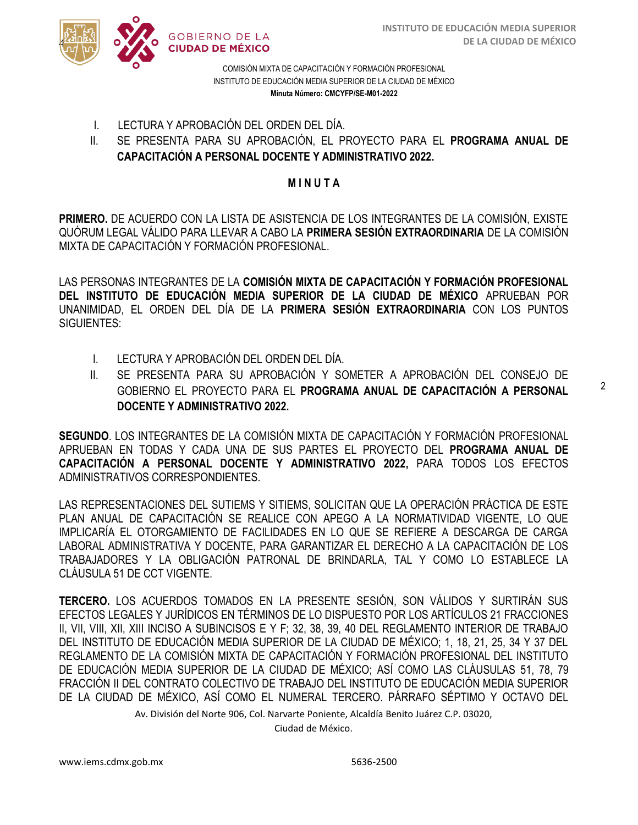

COMISIÓN MIXTA DE CAPACITACIÓN Y FORMACIÓN PROFESIONAL INSTITUTO DE EDUCACIÓN MEDIA SUPERIOR DE LA CIUDAD DE MÉXICO **Minuta Número: CMCYFP/SE-M01-2022**

- I. LECTURA Y APROBACIÓN DEL ORDEN DEL DÍA.
- **CAPACITACIÓN A PERSONAL DOCENTE Y ADMINISTRATIVO 2022.** II. SE PRESENTA PARA SU APROBACIÓN, EL PROYECTO PARA EL **PROGRAMA ANUAL DE**

### **M I N U T A**

**PRIMERO.** DE ACUERDO CON LA LISTA DE ASISTENCIA DE LOS INTEGRANTES DE LA COMISIÓN, EXISTE QUÓRUM LEGAL VÁLIDO PARA LLEVAR A CABO LA **PRIMERA SESIÓN EXTRAORDINARIA** DE LA COMISIÓN MIXTA DE CAPACITACIÓN Y FORMACIÓN PROFESIONAL.

LAS PERSONAS INTEGRANTES DE LA **COMISIÓN MIXTA DE CAPACITACIÓN Y FORMACIÓN PROFESIONAL DEL INSTITUTO DE EDUCACIÓN MEDIA SUPERIOR DE LA CIUDAD DE MÉXICO** APRUEBAN POR UNANIMIDAD, EL ORDEN DEL DÍA DE LA **PRIMERA SESIÓN EXTRAORDINARIA** CON LOS PUNTOS SIGUIENTES:

- I. LECTURA Y APROBACIÓN DEL ORDEN DEL DÍA.
- II. SE PRESENTA PARA SU APROBACIÓN Y SOMETER A APROBACIÓN DEL CONSEJO DE GOBIERNO EL PROYECTO PARA EL **PROGRAMA ANUAL DE CAPACITACIÓN A PERSONAL DOCENTE Y ADMINISTRATIVO 2022.**

**SEGUNDO**. LOS INTEGRANTES DE LA COMISIÓN MIXTA DE CAPACITACIÓN Y FORMACIÓN PROFESIONAL APRUEBAN EN TODAS Y CADA UNA DE SUS PARTES EL PROYECTO DEL **PROGRAMA ANUAL DE CAPACITACIÓN A PERSONAL DOCENTE Y ADMINISTRATIVO 2022,** PARA TODOS LOS EFECTOS ADMINISTRATIVOS CORRESPONDIENTES.

LAS REPRESENTACIONES DEL SUTIEMS Y SITIEMS, SOLICITAN QUE LA OPERACIÓN PRÁCTICA DE ESTE PLAN ANUAL DE CAPACITACIÓN SE REALICE CON APEGO A LA NORMATIVIDAD VIGENTE, LO QUE IMPLICARÍA EL OTORGAMIENTO DE FACILIDADES EN LO QUE SE REFIERE A DESCARGA DE CARGA LABORAL ADMINISTRATIVA Y DOCENTE, PARA GARANTIZAR EL DERECHO A LA CAPACITACIÓN DE LOS TRABAJADORES Y LA OBLIGACIÓN PATRONAL DE BRINDARLA, TAL Y COMO LO ESTABLECE LA CLÁUSULA 51 DE CCT VIGENTE.

**TERCERO.** LOS ACUERDOS TOMADOS EN LA PRESENTE SESIÓN, SON VÁLIDOS Y SURTIRÁN SUS EFECTOS LEGALES Y JURÍDICOS EN TÉRMINOS DE LO DISPUESTO POR LOS ARTÍCULOS 21 FRACCIONES II, VII, VIII, XII, XIII INCISO A SUBINCISOS E Y F; 32, 38, 39, 40 DEL REGLAMENTO INTERIOR DE TRABAJO DEL INSTITUTO DE EDUCACIÓN MEDIA SUPERIOR DE LA CIUDAD DE MÉXICO; 1, 18, 21, 25, 34 Y 37 DEL REGLAMENTO DE LA COMISIÓN MIXTA DE CAPACITACIÓN Y FORMACIÓN PROFESIONAL DEL INSTITUTO DE EDUCACIÓN MEDIA SUPERIOR DE LA CIUDAD DE MÉXICO; ASÍ COMO LAS CLÁUSULAS 51, 78, 79 FRACCIÓN II DEL CONTRATO COLECTIVO DE TRABAJO DEL INSTITUTO DE EDUCACIÓN MEDIA SUPERIOR DE LA CIUDAD DE MÉXICO, ASÍ COMO EL NUMERAL TERCERO. PÁRRAFO SÉPTIMO Y OCTAVO DEL

Av. División del Norte 906, Col. Narvarte Poniente, Alcaldía Benito Juárez C.P. 03020,

Ciudad de México.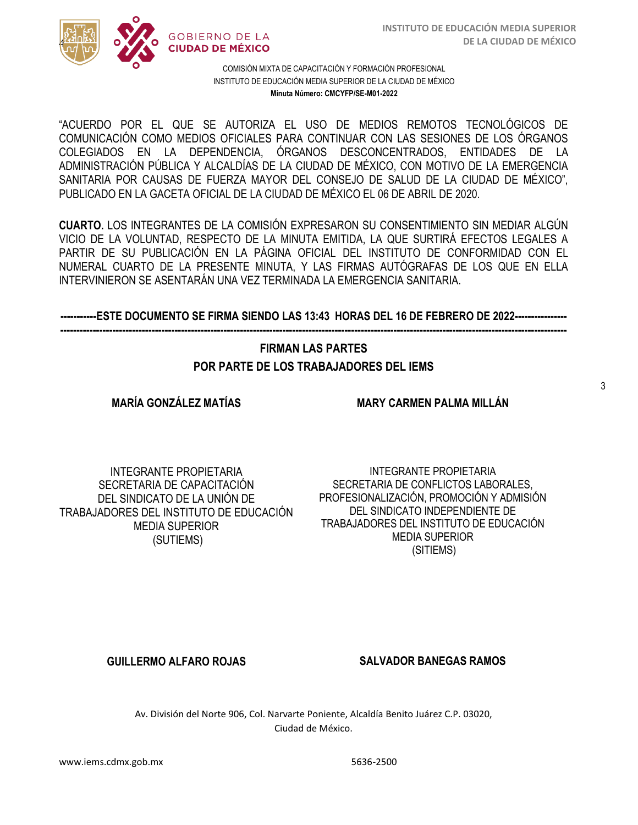

#### COMISIÓN MIXTA DE CAPACITACIÓN Y FORMACIÓN PROFESIONAL INSTITUTO DE EDUCACIÓN MEDIA SUPERIOR DE LA CIUDAD DE MÉXICO **Minuta Número: CMCYFP/SE-M01-2022**

/2020 COMUNICACIÓN COMO MEDIOS OFICIALES PARA CONTINUAR CON LAS SESIONES DE LOS ÓRGANOS  COLEGIADOS EN LA DEPENDENCIA, ÓRGANOS DESCONCENTRADOS, ENTIDADES DE LA "ACUERDO POR EL QUE SE AUTORIZA EL USO DE MEDIOS REMOTOS TECNOLÓGICOS DE ADMINISTRACIÓN PÚBLICA Y ALCALDÍAS DE LA CIUDAD DE MÉXICO, CON MOTIVO DE LA EMERGENCIA SANITARIA POR CAUSAS DE FUERZA MAYOR DEL CONSEJO DE SALUD DE LA CIUDAD DE MÉXICO", PUBLICADO EN LA GACETA OFICIAL DE LA CIUDAD DE MÉXICO EL 06 DE ABRIL DE 2020.

**CUARTO.** LOS INTEGRANTES DE LA COMISIÓN EXPRESARON SU CONSENTIMIENTO SIN MEDIAR ALGÚN VICIO DE LA VOLUNTAD, RESPECTO DE LA MINUTA EMITIDA, LA QUE SURTIRÁ EFECTOS LEGALES A PARTIR DE SU PUBLICACIÓN EN LA PÁGINA OFICIAL DEL INSTITUTO DE CONFORMIDAD CON EL NUMERAL CUARTO DE LA PRESENTE MINUTA, Y LAS FIRMAS AUTÓGRAFAS DE LOS QUE EN ELLA INTERVINIERON SE ASENTARÁN UNA VEZ TERMINADA LA EMERGENCIA SANITARIA.

#### **-----------ESTE DOCUMENTO SE FIRMA SIENDO LAS 13:43 HORAS DEL 16 DE FEBRERO DE 2022---------------- -----------------------------------------------------------------------------------------------------------------------------------------------------------**

# **FIRMAN LAS PARTES POR PARTE DE LOS TRABAJADORES DEL IEMS**

### **MARÍA GONZÁLEZ MATÍAS**

**MARY CARMEN PALMA MILLÁN**

INTEGRANTE PROPIETARIA SECRETARIA DE CAPACITACIÓN DEL SINDICATO DE LA UNIÓN DE TRABAJADORES DEL INSTITUTO DE EDUCACIÓN MEDIA SUPERIOR (SUTIEMS)

INTEGRANTE PROPIETARIA SECRETARIA DE CONFLICTOS LABORALES, PROFESIONALIZACIÓN, PROMOCIÓN Y ADMISIÓN DEL SINDICATO INDEPENDIENTE DE TRABAJADORES DEL INSTITUTO DE EDUCACIÓN MEDIA SUPERIOR (SITIEMS)

**GUILLERMO ALFARO ROJAS SALVADOR BANEGAS RAMOS**

Av. División del Norte 906, Col. Narvarte Poniente, Alcaldía Benito Juárez C.P. 03020, Ciudad de México.